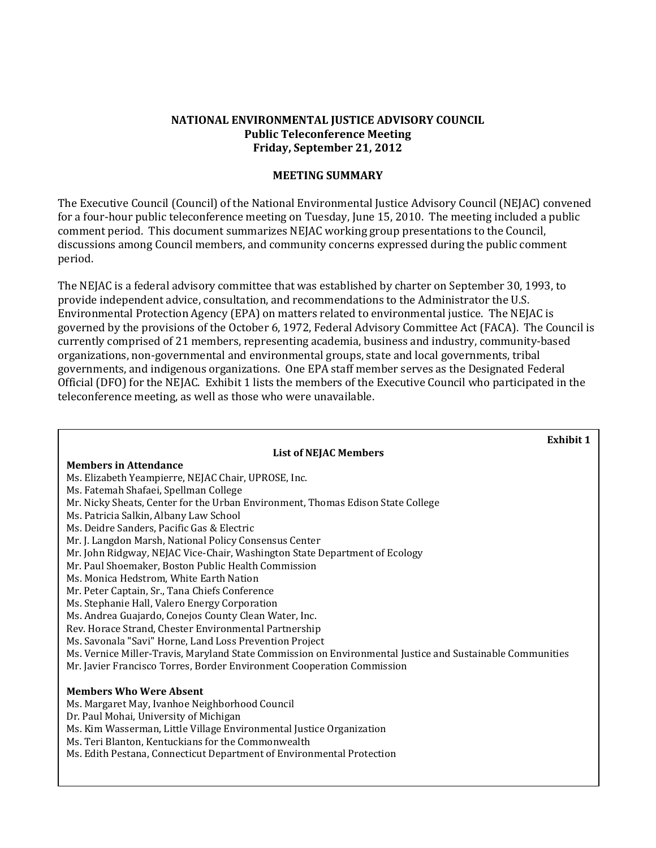#### **NATIONAL ENVIRONMENTAL JUSTICE ADVISORY COUNCIL Public Teleconference Meeting Friday, September 21, 2012**

#### **MEETING SUMMARY**

The Executive Council (Council) of the National Environmental Justice Advisory Council (NEJAC) convened for a four-hour public teleconference meeting on Tuesday, June 15, 2010. The meeting included a public comment period. This document summarizes NEJAC working group presentations to the Council, discussions among Council members, and community concerns expressed during the public comment period.

The NEJAC is a federal advisory committee that was established by charter on September 30, 1993, to provide independent advice, consultation, and recommendations to the Administrator the U.S. Environmental Protection Agency (EPA) on matters related to environmental justice. The NEJAC is governed by the provisions of the October 6, 1972, Federal Advisory Committee Act (FACA). The Council is currently comprised of 21 members, representing academia, business and industry, community-based organizations, non-governmental and environmental groups, state and local governments, tribal governments, and indigenous organizations. One EPA staff member serves as the Designated Federal Official (DFO) for the NEJAC. Exhibit 1 lists the members of the Executive Council who participated in the teleconference meeting, as well as those who were unavailable.

| <b>Exhibit 1</b>                                                                                                                                                                                                                                                                                                                  |
|-----------------------------------------------------------------------------------------------------------------------------------------------------------------------------------------------------------------------------------------------------------------------------------------------------------------------------------|
| <b>List of NEJAC Members</b>                                                                                                                                                                                                                                                                                                      |
| <b>Members in Attendance</b>                                                                                                                                                                                                                                                                                                      |
| Ms. Elizabeth Yeampierre, NEJAC Chair, UPROSE, Inc.                                                                                                                                                                                                                                                                               |
| Ms. Fatemah Shafaei, Spellman College                                                                                                                                                                                                                                                                                             |
| Mr. Nicky Sheats, Center for the Urban Environment, Thomas Edison State College                                                                                                                                                                                                                                                   |
| Ms. Patricia Salkin, Albany Law School                                                                                                                                                                                                                                                                                            |
| Ms. Deidre Sanders, Pacific Gas & Electric                                                                                                                                                                                                                                                                                        |
| Mr. J. Langdon Marsh, National Policy Consensus Center                                                                                                                                                                                                                                                                            |
| Mr. John Ridgway, NEJAC Vice-Chair, Washington State Department of Ecology                                                                                                                                                                                                                                                        |
| Mr. Paul Shoemaker, Boston Public Health Commission                                                                                                                                                                                                                                                                               |
| Ms. Monica Hedstrom, White Earth Nation                                                                                                                                                                                                                                                                                           |
| Mr. Peter Captain, Sr., Tana Chiefs Conference                                                                                                                                                                                                                                                                                    |
| Ms. Stephanie Hall, Valero Energy Corporation                                                                                                                                                                                                                                                                                     |
| Ms. Andrea Guajardo, Conejos County Clean Water, Inc.                                                                                                                                                                                                                                                                             |
| Rev. Horace Strand, Chester Environmental Partnership                                                                                                                                                                                                                                                                             |
| Ms. Savonala "Savi" Horne, Land Loss Prevention Project                                                                                                                                                                                                                                                                           |
| Ms. Vernice Miller-Travis, Maryland State Commission on Environmental Justice and Sustainable Communities                                                                                                                                                                                                                         |
| Mr. Javier Francisco Torres, Border Environment Cooperation Commission                                                                                                                                                                                                                                                            |
| <b>Members Who Were Absent</b><br>Ms. Margaret May, Ivanhoe Neighborhood Council<br>Dr. Paul Mohai, University of Michigan<br>Ms. Kim Wasserman, Little Village Environmental Justice Organization<br>Ms. Teri Blanton, Kentuckians for the Commonwealth<br>Ms. Edith Pestana, Connecticut Department of Environmental Protection |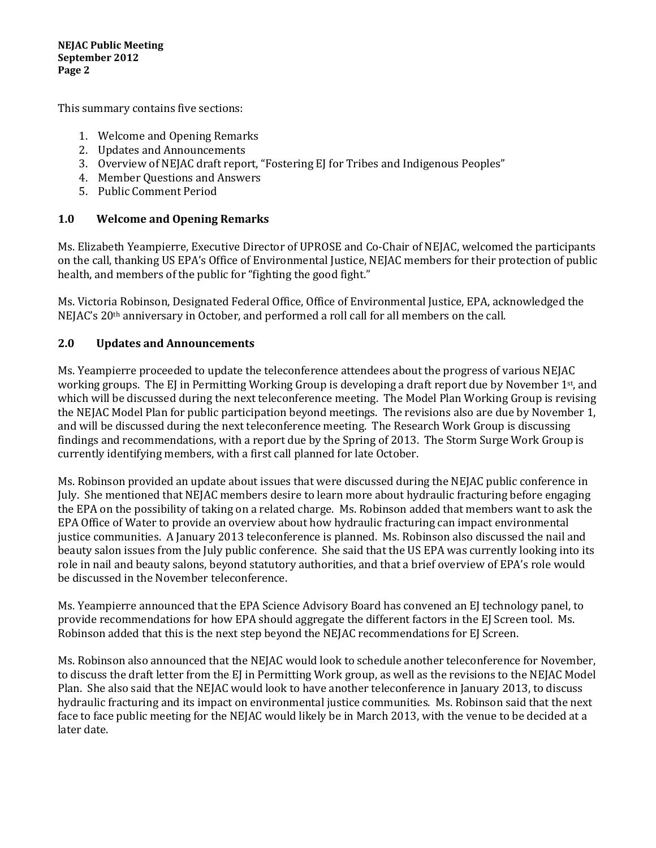This summary contains five sections:

- 1. Welcome and Opening Remarks
- 2. Updates and Announcements
- 3. Overview of NEJAC draft report, "Fostering EJ for Tribes and Indigenous Peoples"
- 4. Member Questions and Answers
- 5. Public Comment Period

## **1.0 Welcome and Opening Remarks**

Ms. Elizabeth Yeampierre, Executive Director of UPROSE and Co-Chair of NEJAC, welcomed the participants on the call, thanking US EPA's Office of Environmental Justice, NEJAC members for their protection of public health, and members of the public for "fighting the good fight."

Ms. Victoria Robinson, Designated Federal Office, Office of Environmental Justice, EPA, acknowledged the NEJAC's 20th anniversary in October, and performed a roll call for all members on the call.

### **2.0 Updates and Announcements**

Ms. Yeampierre proceeded to update the teleconference attendees about the progress of various NEJAC working groups. The EJ in Permitting Working Group is developing a draft report due by November 1<sup>st</sup>, and which will be discussed during the next teleconference meeting. The Model Plan Working Group is revising the NEJAC Model Plan for public participation beyond meetings. The revisions also are due by November 1, and will be discussed during the next teleconference meeting. The Research Work Group is discussing findings and recommendations, with a report due by the Spring of 2013. The Storm Surge Work Group is currently identifying members, with a first call planned for late October.

Ms. Robinson provided an update about issues that were discussed during the NEJAC public conference in July. She mentioned that NEJAC members desire to learn more about hydraulic fracturing before engaging the EPA on the possibility of taking on a related charge. Ms. Robinson added that members want to ask the EPA Office of Water to provide an overview about how hydraulic fracturing can impact environmental justice communities. A January 2013 teleconference is planned. Ms. Robinson also discussed the nail and beauty salon issues from the July public conference. She said that the US EPA was currently looking into its role in nail and beauty salons, beyond statutory authorities, and that a brief overview of EPA's role would be discussed in the November teleconference.

Ms. Yeampierre announced that the EPA Science Advisory Board has convened an EJ technology panel, to provide recommendations for how EPA should aggregate the different factors in the EJ Screen tool. Ms. Robinson added that this is the next step beyond the NEJAC recommendations for EJ Screen.

Ms. Robinson also announced that the NEJAC would look to schedule another teleconference for November, to discuss the draft letter from the EJ in Permitting Work group, as well as the revisions to the NEJAC Model Plan. She also said that the NEJAC would look to have another teleconference in January 2013, to discuss hydraulic fracturing and its impact on environmental justice communities. Ms. Robinson said that the next face to face public meeting for the NEJAC would likely be in March 2013, with the venue to be decided at a later date.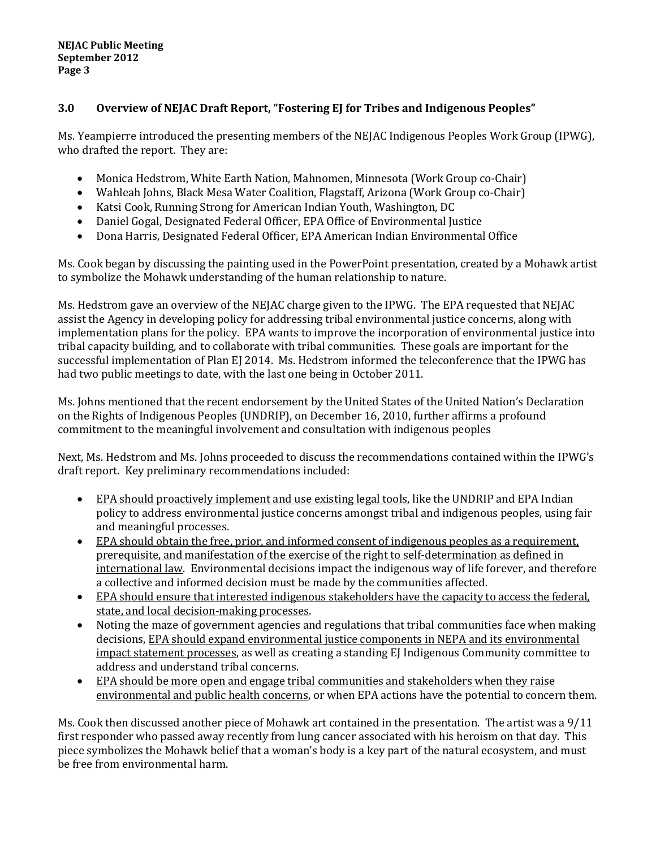## **3.0 Overview of NEJAC Draft Report, "Fostering EJ for Tribes and Indigenous Peoples"**

Ms. Yeampierre introduced the presenting members of the NEJAC Indigenous Peoples Work Group (IPWG), who drafted the report. They are:

- Monica Hedstrom, White Earth Nation, Mahnomen, Minnesota (Work Group co-Chair)
- Wahleah Johns, Black Mesa Water Coalition, Flagstaff, Arizona (Work Group co-Chair)
- Katsi Cook, Running Strong for American Indian Youth, Washington, DC
- Daniel Gogal, Designated Federal Officer, EPA Office of Environmental Justice
- Dona Harris, Designated Federal Officer, EPA American Indian Environmental Office

Ms. Cook began by discussing the painting used in the PowerPoint presentation, created by a Mohawk artist to symbolize the Mohawk understanding of the human relationship to nature.

Ms. Hedstrom gave an overview of the NEJAC charge given to the IPWG. The EPA requested that NEJAC assist the Agency in developing policy for addressing tribal environmental justice concerns, along with implementation plans for the policy. EPA wants to improve the incorporation of environmental justice into tribal capacity building, and to collaborate with tribal communities. These goals are important for the successful implementation of Plan EJ 2014. Ms. Hedstrom informed the teleconference that the IPWG has had two public meetings to date, with the last one being in October 2011.

Ms. Johns mentioned that the recent endorsement by the United States of the United Nation's Declaration on the Rights of Indigenous Peoples (UNDRIP), on December 16, 2010, further affirms a profound commitment to the meaningful involvement and consultation with indigenous peoples

Next, Ms. Hedstrom and Ms. Johns proceeded to discuss the recommendations contained within the IPWG's draft report. Key preliminary recommendations included:

- EPA should proactively implement and use existing legal tools, like the UNDRIP and EPA Indian policy to address environmental justice concerns amongst tribal and indigenous peoples, using fair and meaningful processes.
- EPA should obtain the free, prior, and informed consent of indigenous peoples as a requirement, prerequisite, and manifestation of the exercise of the right to self-determination as defined in international law. Environmental decisions impact the indigenous way of life forever, and therefore a collective and informed decision must be made by the communities affected.
- EPA should ensure that interested indigenous stakeholders have the capacity to access the federal, state, and local decision-making processes.
- Noting the maze of government agencies and regulations that tribal communities face when making decisions, EPA should expand environmental justice components in NEPA and its environmental impact statement processes, as well as creating a standing EJ Indigenous Community committee to address and understand tribal concerns.
- EPA should be more open and engage tribal communities and stakeholders when they raise environmental and public health concerns, or when EPA actions have the potential to concern them.

Ms. Cook then discussed another piece of Mohawk art contained in the presentation. The artist was a 9/11 first responder who passed away recently from lung cancer associated with his heroism on that day. This piece symbolizes the Mohawk belief that a woman's body is a key part of the natural ecosystem, and must be free from environmental harm.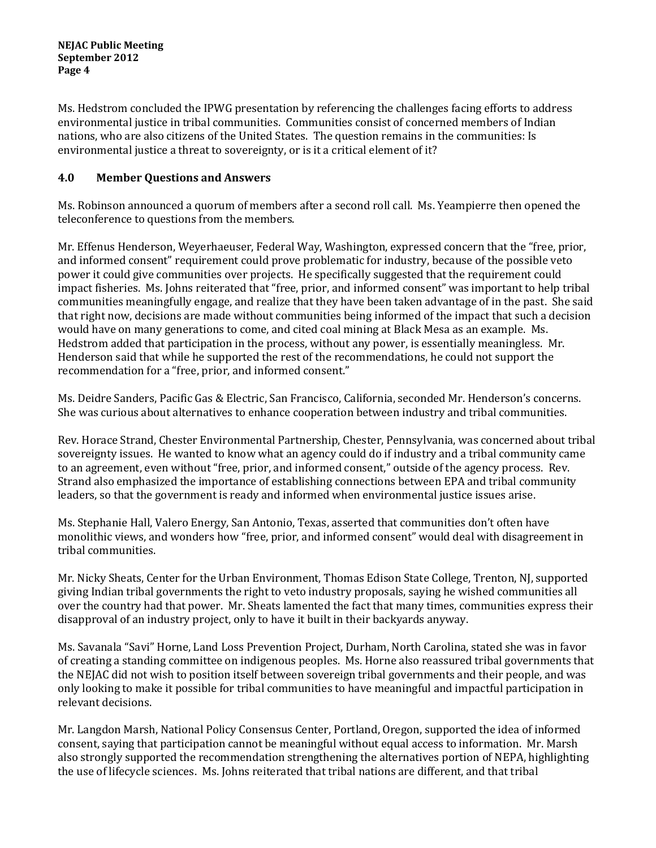Ms. Hedstrom concluded the IPWG presentation by referencing the challenges facing efforts to address environmental justice in tribal communities. Communities consist of concerned members of Indian nations, who are also citizens of the United States. The question remains in the communities: Is environmental justice a threat to sovereignty, or is it a critical element of it?

# **4.0 Member Questions and Answers**

Ms. Robinson announced a quorum of members after a second roll call. Ms. Yeampierre then opened the teleconference to questions from the members.

Mr. Effenus Henderson, Weyerhaeuser, Federal Way, Washington, expressed concern that the "free, prior, and informed consent" requirement could prove problematic for industry, because of the possible veto power it could give communities over projects. He specifically suggested that the requirement could impact fisheries. Ms. Johns reiterated that "free, prior, and informed consent" was important to help tribal communities meaningfully engage, and realize that they have been taken advantage of in the past. She said that right now, decisions are made without communities being informed of the impact that such a decision would have on many generations to come, and cited coal mining at Black Mesa as an example. Ms. Hedstrom added that participation in the process, without any power, is essentially meaningless. Mr. Henderson said that while he supported the rest of the recommendations, he could not support the recommendation for a "free, prior, and informed consent."

Ms. Deidre Sanders, Pacific Gas & Electric, San Francisco, California, seconded Mr. Henderson's concerns. She was curious about alternatives to enhance cooperation between industry and tribal communities.

Rev. Horace Strand, Chester Environmental Partnership, Chester, Pennsylvania, was concerned about tribal sovereignty issues. He wanted to know what an agency could do if industry and a tribal community came to an agreement, even without "free, prior, and informed consent," outside of the agency process. Rev. Strand also emphasized the importance of establishing connections between EPA and tribal community leaders, so that the government is ready and informed when environmental justice issues arise.

Ms. Stephanie Hall, Valero Energy, San Antonio, Texas, asserted that communities don't often have monolithic views, and wonders how "free, prior, and informed consent" would deal with disagreement in tribal communities.

Mr. Nicky Sheats, Center for the Urban Environment, Thomas Edison State College, Trenton, NJ, supported giving Indian tribal governments the right to veto industry proposals, saying he wished communities all over the country had that power. Mr. Sheats lamented the fact that many times, communities express their disapproval of an industry project, only to have it built in their backyards anyway.

Ms. Savanala "Savi" Horne, Land Loss Prevention Project, Durham, North Carolina, stated she was in favor of creating a standing committee on indigenous peoples. Ms. Horne also reassured tribal governments that the NEJAC did not wish to position itself between sovereign tribal governments and their people, and was only looking to make it possible for tribal communities to have meaningful and impactful participation in relevant decisions.

Mr. Langdon Marsh, National Policy Consensus Center, Portland, Oregon, supported the idea of informed consent, saying that participation cannot be meaningful without equal access to information. Mr. Marsh also strongly supported the recommendation strengthening the alternatives portion of NEPA, highlighting the use of lifecycle sciences. Ms. Johns reiterated that tribal nations are different, and that tribal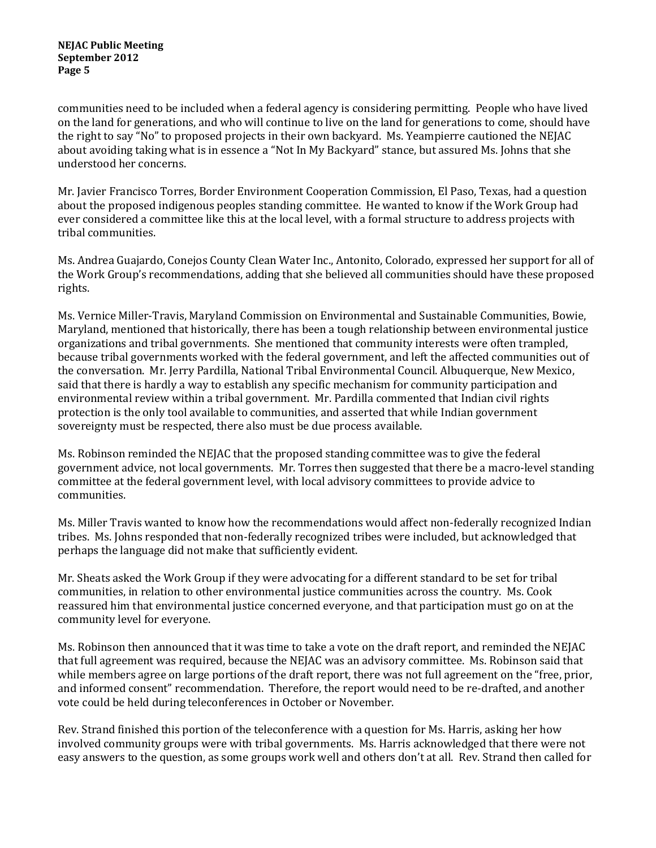communities need to be included when a federal agency is considering permitting. People who have lived on the land for generations, and who will continue to live on the land for generations to come, should have the right to say "No" to proposed projects in their own backyard. Ms. Yeampierre cautioned the NEJAC about avoiding taking what is in essence a "Not In My Backyard" stance, but assured Ms. Johns that she understood her concerns.

Mr. Javier Francisco Torres, Border Environment Cooperation Commission, El Paso, Texas, had a question about the proposed indigenous peoples standing committee. He wanted to know if the Work Group had ever considered a committee like this at the local level, with a formal structure to address projects with tribal communities.

Ms. Andrea Guajardo, Conejos County Clean Water Inc., Antonito, Colorado, expressed her support for all of the Work Group's recommendations, adding that she believed all communities should have these proposed rights.

Ms. Vernice Miller-Travis, Maryland Commission on Environmental and Sustainable Communities, Bowie, Maryland, mentioned that historically, there has been a tough relationship between environmental justice organizations and tribal governments. She mentioned that community interests were often trampled, because tribal governments worked with the federal government, and left the affected communities out of the conversation. Mr. Jerry Pardilla, National Tribal Environmental Council. Albuquerque, New Mexico, said that there is hardly a way to establish any specific mechanism for community participation and environmental review within a tribal government. Mr. Pardilla commented that Indian civil rights protection is the only tool available to communities, and asserted that while Indian government sovereignty must be respected, there also must be due process available.

Ms. Robinson reminded the NEJAC that the proposed standing committee was to give the federal government advice, not local governments. Mr. Torres then suggested that there be a macro-level standing committee at the federal government level, with local advisory committees to provide advice to communities.

Ms. Miller Travis wanted to know how the recommendations would affect non-federally recognized Indian tribes. Ms. Johns responded that non-federally recognized tribes were included, but acknowledged that perhaps the language did not make that sufficiently evident.

Mr. Sheats asked the Work Group if they were advocating for a different standard to be set for tribal communities, in relation to other environmental justice communities across the country. Ms. Cook reassured him that environmental justice concerned everyone, and that participation must go on at the community level for everyone.

Ms. Robinson then announced that it was time to take a vote on the draft report, and reminded the NEJAC that full agreement was required, because the NEJAC was an advisory committee. Ms. Robinson said that while members agree on large portions of the draft report, there was not full agreement on the "free, prior, and informed consent" recommendation. Therefore, the report would need to be re-drafted, and another vote could be held during teleconferences in October or November.

Rev. Strand finished this portion of the teleconference with a question for Ms. Harris, asking her how involved community groups were with tribal governments. Ms. Harris acknowledged that there were not easy answers to the question, as some groups work well and others don't at all. Rev. Strand then called for